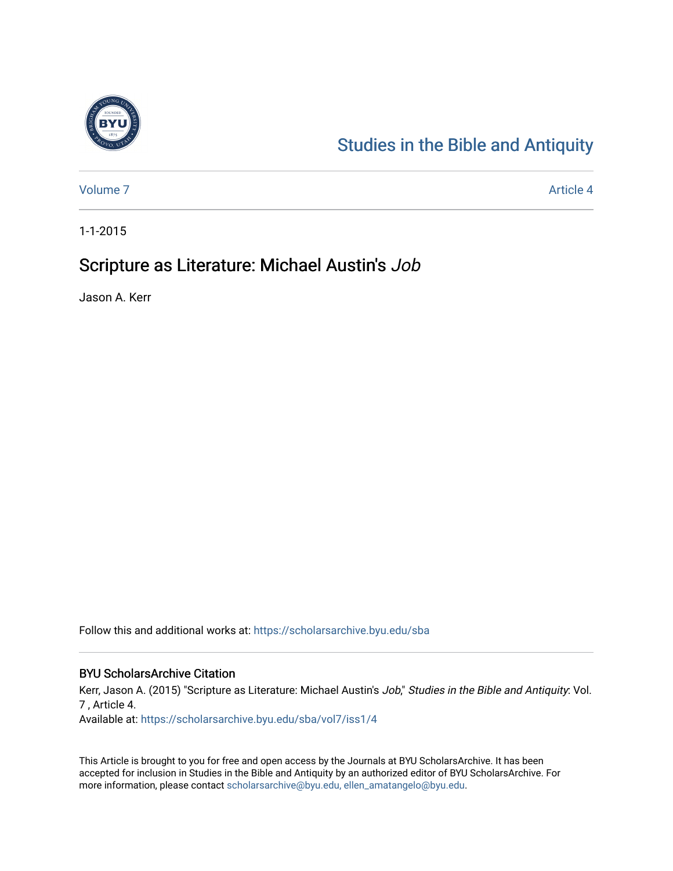

## [Studies in the Bible and Antiquity](https://scholarsarchive.byu.edu/sba)

[Volume 7](https://scholarsarchive.byu.edu/sba/vol7) Article 4

1-1-2015

## Scripture as Literature: Michael Austin's Job

Jason A. Kerr

Follow this and additional works at: [https://scholarsarchive.byu.edu/sba](https://scholarsarchive.byu.edu/sba?utm_source=scholarsarchive.byu.edu%2Fsba%2Fvol7%2Fiss1%2F4&utm_medium=PDF&utm_campaign=PDFCoverPages)

#### BYU ScholarsArchive Citation

Kerr, Jason A. (2015) "Scripture as Literature: Michael Austin's Job," Studies in the Bible and Antiquity: Vol. 7 , Article 4.

Available at: [https://scholarsarchive.byu.edu/sba/vol7/iss1/4](https://scholarsarchive.byu.edu/sba/vol7/iss1/4?utm_source=scholarsarchive.byu.edu%2Fsba%2Fvol7%2Fiss1%2F4&utm_medium=PDF&utm_campaign=PDFCoverPages)

This Article is brought to you for free and open access by the Journals at BYU ScholarsArchive. It has been accepted for inclusion in Studies in the Bible and Antiquity by an authorized editor of BYU ScholarsArchive. For more information, please contact [scholarsarchive@byu.edu, ellen\\_amatangelo@byu.edu.](mailto:scholarsarchive@byu.edu,%20ellen_amatangelo@byu.edu)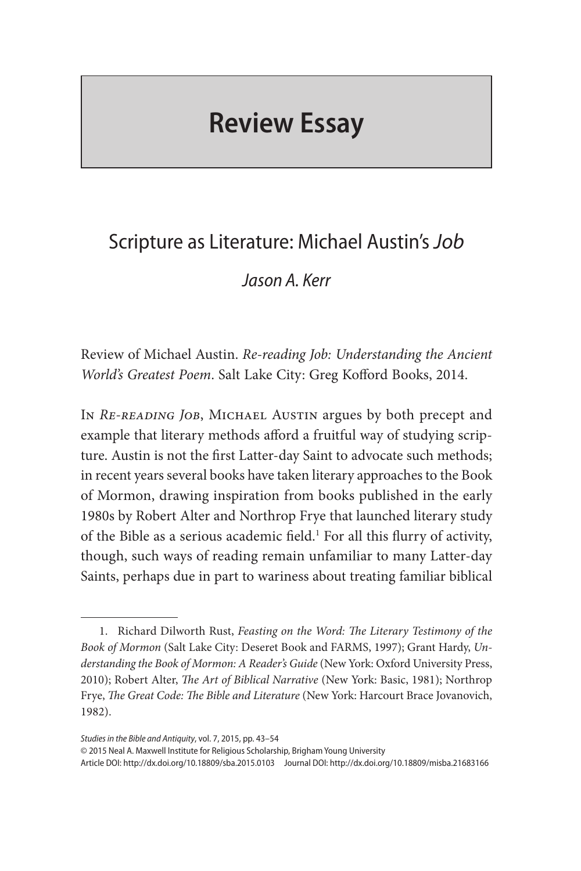# **Review Essay**

## Scripture as Literature: Michael Austin's *Job*

### *Jason A. Kerr*

Review of Michael Austin. *Re-reading Job: Understanding the Ancient World's Greatest Poem*. Salt Lake City: Greg Kofford Books, 2014.

In *Re-reading Job*, Michael Austin argues by both precept and example that literary methods afford a fruitful way of studying scripture. Austin is not the first Latter-day Saint to advocate such methods; in recent years several books have taken literary approaches to the Book of Mormon, drawing inspiration from books published in the early 1980s by Robert Alter and Northrop Frye that launched literary study of the Bible as a serious academic field.<sup>1</sup> For all this flurry of activity, though, such ways of reading remain unfamiliar to many Latter-day Saints, perhaps due in part to wariness about treating familiar biblical

*Studies in the Bible and Antiquity*, vol. 7, 2015, pp. 43–54

© 2015 Neal A. Maxwell Institute for Religious Scholarship, Brigham Young University

Article DOI: http://dx.doi.org/10.18809/sba.2015.0103 Journal DOI: http://dx.doi.org/10.18809/misba.21683166

<sup>1.</sup> Richard Dilworth Rust, *Feasting on the Word: The Literary Testimony of the Book of Mormon* (Salt Lake City: Deseret Book and FARMS, 1997); Grant Hardy, *Understanding the Book of Mormon: A Reader's Guide* (New York: Oxford University Press, 2010); Robert Alter, *The Art of Biblical Narrative* (New York: Basic, 1981); Northrop Frye, *The Great Code: The Bible and Literature* (New York: Harcourt Brace Jovanovich, 1982).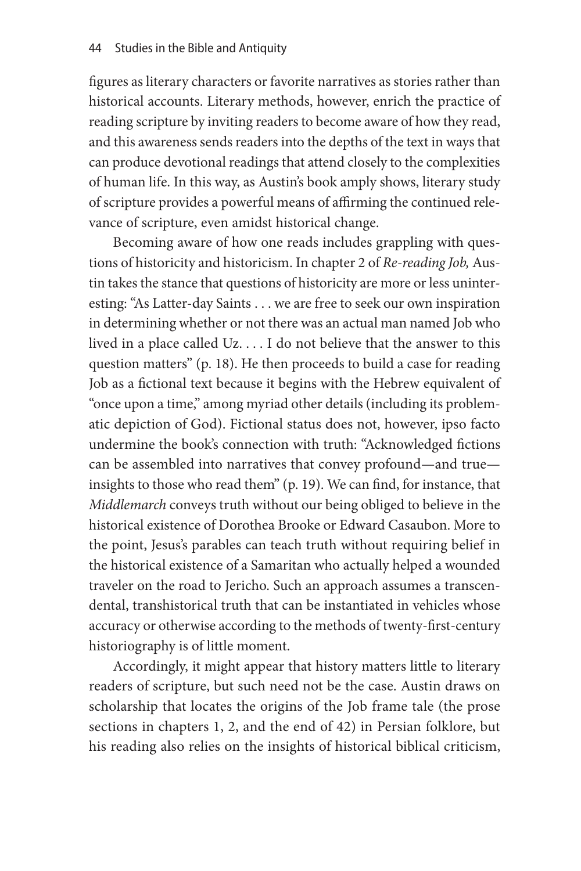figures as literary characters or favorite narratives as stories rather than historical accounts. Literary methods, however, enrich the practice of reading scripture by inviting readers to become aware of how they read, and this awareness sends readers into the depths of the text in ways that can produce devotional readings that attend closely to the complexities of human life. In this way, as Austin's book amply shows, literary study of scripture provides a powerful means of affirming the continued relevance of scripture, even amidst historical change.

Becoming aware of how one reads includes grappling with questions of historicity and historicism. In chapter 2 of *Re-reading Job,* Austin takes the stance that questions of historicity are more or less uninteresting: "As Latter-day Saints . . . we are free to seek our own inspiration in determining whether or not there was an actual man named Job who lived in a place called Uz. . . . I do not believe that the answer to this question matters" (p. 18). He then proceeds to build a case for reading Job as a fictional text because it begins with the Hebrew equivalent of "once upon a time," among myriad other details (including its problematic depiction of God). Fictional status does not, however, ipso facto undermine the book's connection with truth: "Acknowledged fictions can be assembled into narratives that convey profound—and true insights to those who read them" (p. 19). We can find, for instance, that *Middlemarch* conveys truth without our being obliged to believe in the historical existence of Dorothea Brooke or Edward Casaubon. More to the point, Jesus's parables can teach truth without requiring belief in the historical existence of a Samaritan who actually helped a wounded traveler on the road to Jericho. Such an approach assumes a transcendental, transhistorical truth that can be instantiated in vehicles whose accuracy or otherwise according to the methods of twenty-first-century historiography is of little moment.

Accordingly, it might appear that history matters little to literary readers of scripture, but such need not be the case. Austin draws on scholarship that locates the origins of the Job frame tale (the prose sections in chapters 1, 2, and the end of 42) in Persian folklore, but his reading also relies on the insights of historical biblical criticism,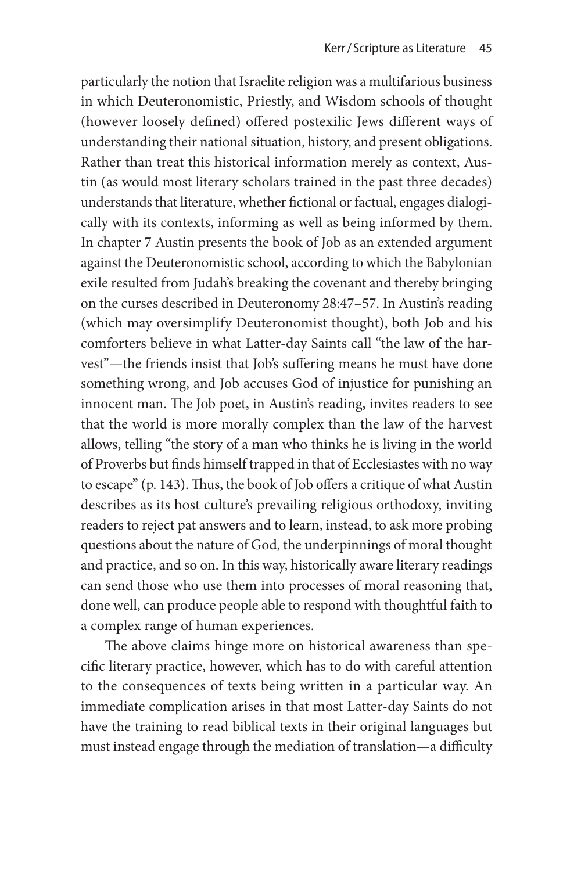particularly the notion that Israelite religion was a multifarious business in which Deuteronomistic, Priestly, and Wisdom schools of thought (however loosely defined) offered postexilic Jews different ways of understanding their national situation, history, and present obligations. Rather than treat this historical information merely as context, Austin (as would most literary scholars trained in the past three decades) understands that literature, whether fictional or factual, engages dialogically with its contexts, informing as well as being informed by them. In chapter 7 Austin presents the book of Job as an extended argument against the Deuteronomistic school, according to which the Babylonian exile resulted from Judah's breaking the covenant and thereby bringing on the curses described in Deuteronomy 28:47–57. In Austin's reading (which may oversimplify Deuteronomist thought), both Job and his comforters believe in what Latter-day Saints call "the law of the harvest"—the friends insist that Job's suffering means he must have done something wrong, and Job accuses God of injustice for punishing an innocent man. The Job poet, in Austin's reading, invites readers to see that the world is more morally complex than the law of the harvest allows, telling "the story of a man who thinks he is living in the world of Proverbs but finds himself trapped in that of Ecclesiastes with no way to escape" (p. 143). Thus, the book of Job offers a critique of what Austin describes as its host culture's prevailing religious orthodoxy, inviting readers to reject pat answers and to learn, instead, to ask more probing questions about the nature of God, the underpinnings of moral thought and practice, and so on. In this way, historically aware literary readings can send those who use them into processes of moral reasoning that, done well, can produce people able to respond with thoughtful faith to a complex range of human experiences.

The above claims hinge more on historical awareness than specific literary practice, however, which has to do with careful attention to the consequences of texts being written in a particular way. An immediate complication arises in that most Latter-day Saints do not have the training to read biblical texts in their original languages but must instead engage through the mediation of translation—a difficulty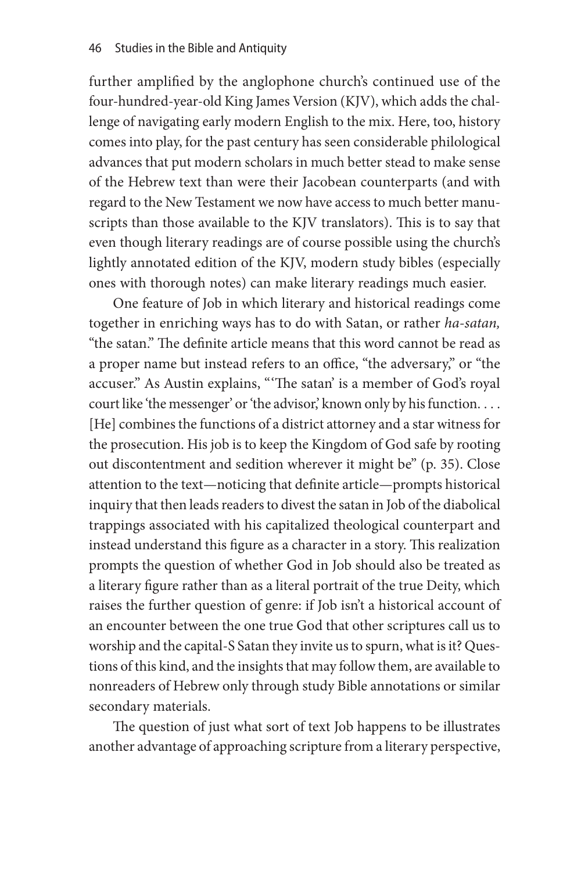further amplified by the anglophone church's continued use of the four-hundred-year-old King James Version (KJV), which adds the challenge of navigating early modern English to the mix. Here, too, history comes into play, for the past century has seen considerable philological advances that put modern scholars in much better stead to make sense of the Hebrew text than were their Jacobean counterparts (and with regard to the New Testament we now have access to much better manuscripts than those available to the KJV translators). This is to say that even though literary readings are of course possible using the church's lightly annotated edition of the KJV, modern study bibles (especially ones with thorough notes) can make literary readings much easier.

One feature of Job in which literary and historical readings come together in enriching ways has to do with Satan, or rather *ha-satan,* "the satan." The definite article means that this word cannot be read as a proper name but instead refers to an office, "the adversary," or "the accuser." As Austin explains, "'The satan' is a member of God's royal court like 'the messenger' or 'the advisor,' known only by his function. . . . [He] combines the functions of a district attorney and a star witness for the prosecution. His job is to keep the Kingdom of God safe by rooting out discontentment and sedition wherever it might be" (p. 35). Close attention to the text—noticing that definite article—prompts historical inquiry that then leads readers to divest the satan in Job of the diabolical trappings associated with his capitalized theological counterpart and instead understand this figure as a character in a story. This realization prompts the question of whether God in Job should also be treated as a literary figure rather than as a literal portrait of the true Deity, which raises the further question of genre: if Job isn't a historical account of an encounter between the one true God that other scriptures call us to worship and the capital-S Satan they invite us to spurn, what is it? Questions of this kind, and the insights that may follow them, are available to nonreaders of Hebrew only through study Bible annotations or similar secondary materials.

The question of just what sort of text Job happens to be illustrates another advantage of approaching scripture from a literary perspective,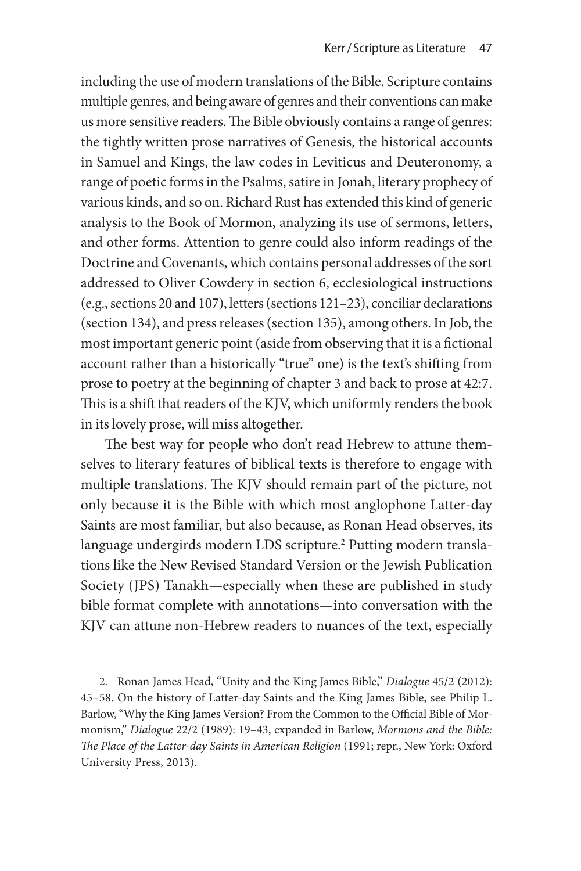including the use of modern translations of the Bible. Scripture contains multiple genres, and being aware of genres and their conventions can make us more sensitive readers. The Bible obviously contains a range of genres: the tightly written prose narratives of Genesis, the historical accounts in Samuel and Kings, the law codes in Leviticus and Deuteronomy, a range of poetic forms in the Psalms, satire in Jonah, literary prophecy of various kinds, and so on. Richard Rust has extended this kind of generic analysis to the Book of Mormon, analyzing its use of sermons, letters, and other forms. Attention to genre could also inform readings of the Doctrine and Covenants, which contains personal addresses of the sort addressed to Oliver Cowdery in section 6, ecclesiological instructions (e.g., sections 20 and 107), letters (sections 121–23), conciliar declarations (section 134), and press releases (section 135), among others. In Job, the most important generic point (aside from observing that it is a fictional account rather than a historically "true" one) is the text's shifting from prose to poetry at the beginning of chapter 3 and back to prose at 42:7. This is a shift that readers of the KJV, which uniformly renders the book in its lovely prose, will miss altogether.

The best way for people who don't read Hebrew to attune themselves to literary features of biblical texts is therefore to engage with multiple translations. The KJV should remain part of the picture, not only because it is the Bible with which most anglophone Latter-day Saints are most familiar, but also because, as Ronan Head observes, its language undergirds modern LDS scripture.<sup>2</sup> Putting modern translations like the New Revised Standard Version or the Jewish Publication Society (JPS) Tanakh—especially when these are published in study bible format complete with annotations—into conversation with the KJV can attune non-Hebrew readers to nuances of the text, especially

<sup>2.</sup> Ronan James Head, "Unity and the King James Bible," *Dialogue* 45/2 (2012): 45–58. On the history of Latter-day Saints and the King James Bible, see Philip L. Barlow, "Why the King James Version? From the Common to the Official Bible of Mormonism," *Dialogue* 22/2 (1989): 19–43, expanded in Barlow, *Mormons and the Bible: The Place of the Latter-day Saints in American Religion* (1991; repr., New York: Oxford University Press, 2013).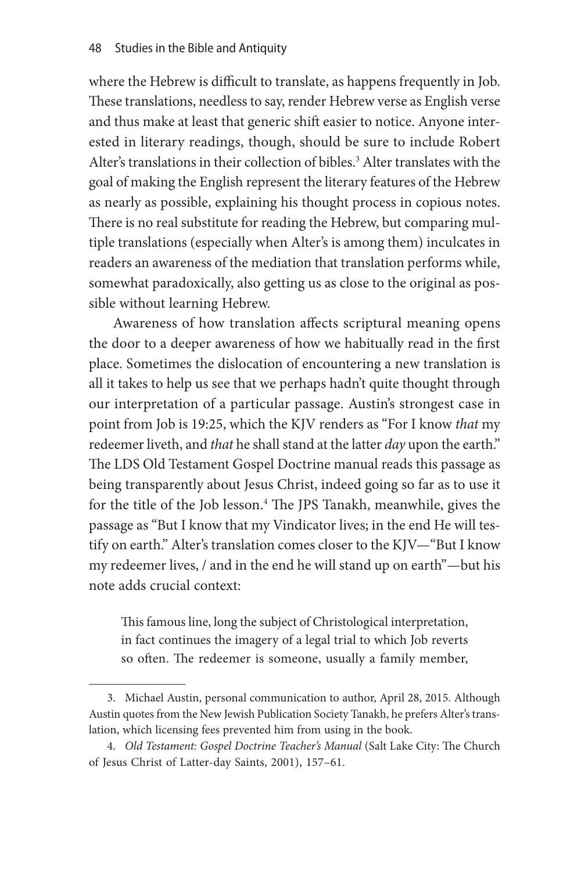where the Hebrew is difficult to translate, as happens frequently in Job. These translations, needless to say, render Hebrew verse as English verse and thus make at least that generic shift easier to notice. Anyone interested in literary readings, though, should be sure to include Robert Alter's translations in their collection of bibles.<sup>3</sup> Alter translates with the goal of making the English represent the literary features of the Hebrew as nearly as possible, explaining his thought process in copious notes. There is no real substitute for reading the Hebrew, but comparing multiple translations (especially when Alter's is among them) inculcates in readers an awareness of the mediation that translation performs while, somewhat paradoxically, also getting us as close to the original as possible without learning Hebrew.

Awareness of how translation affects scriptural meaning opens the door to a deeper awareness of how we habitually read in the first place. Sometimes the dislocation of encountering a new translation is all it takes to help us see that we perhaps hadn't quite thought through our interpretation of a particular passage. Austin's strongest case in point from Job is 19:25, which the KJV renders as "For I know *that* my redeemer liveth, and *that* he shall stand at the latter *day* upon the earth." The LDS Old Testament Gospel Doctrine manual reads this passage as being transparently about Jesus Christ, indeed going so far as to use it for the title of the Job lesson.<sup>4</sup> The JPS Tanakh, meanwhile, gives the passage as "But I know that my Vindicator lives; in the end He will testify on earth." Alter's translation comes closer to the KJV—"But I know my redeemer lives, / and in the end he will stand up on earth"—but his note adds crucial context:

This famous line, long the subject of Christological interpretation, in fact continues the imagery of a legal trial to which Job reverts so often. The redeemer is someone, usually a family member,

<sup>3.</sup> Michael Austin, personal communication to author, April 28, 2015. Although Austin quotes from the New Jewish Publication Society Tanakh, he prefers Alter's translation, which licensing fees prevented him from using in the book.

<sup>4.</sup> *Old Testament: Gospel Doctrine Teacher's Manual* (Salt Lake City: The Church of Jesus Christ of Latter-day Saints, 2001), 157–61.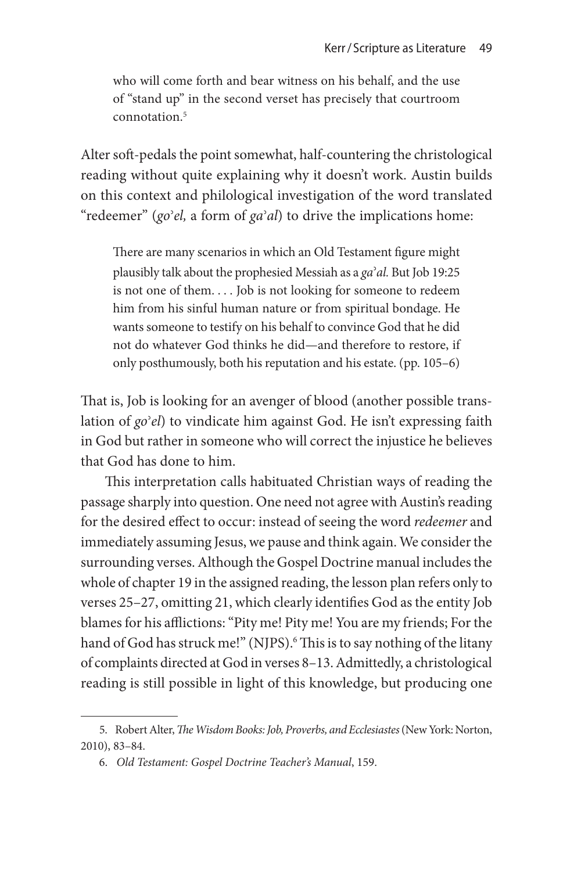who will come forth and bear witness on his behalf, and the use of "stand up" in the second verset has precisely that courtroom connotation<sup>5</sup>

Alter soft-pedals the point somewhat, half-countering the christological reading without quite explaining why it doesn't work. Austin builds on this context and philological investigation of the word translated "redeemer" (*go*ʾ*el,* a form of *ga*ʾ*al*) to drive the implications home:

There are many scenarios in which an Old Testament figure might plausibly talk about the prophesied Messiah as a *ga*ʾ*al.* But Job 19:25 is not one of them. . . . Job is not looking for someone to redeem him from his sinful human nature or from spiritual bondage. He wants someone to testify on his behalf to convince God that he did not do whatever God thinks he did—and therefore to restore, if only posthumously, both his reputation and his estate. (pp. 105–6)

That is, Job is looking for an avenger of blood (another possible translation of *go*ʾ*el*) to vindicate him against God. He isn't expressing faith in God but rather in someone who will correct the injustice he believes that God has done to him.

This interpretation calls habituated Christian ways of reading the passage sharply into question. One need not agree with Austin's reading for the desired effect to occur: instead of seeing the word *redeemer* and immediately assuming Jesus, we pause and think again. We consider the surrounding verses. Although the Gospel Doctrine manual includes the whole of chapter 19 in the assigned reading, the lesson plan refers only to verses 25–27, omitting 21, which clearly identifies God as the entity Job blames for his afflictions: "Pity me! Pity me! You are my friends; For the hand of God has struck me!" (NJPS).<sup>6</sup> This is to say nothing of the litany of complaints directed at God in verses 8–13. Admittedly, a christological reading is still possible in light of this knowledge, but producing one

<sup>5.</sup> Robert Alter, *The Wisdom Books: Job, Proverbs, and Ecclesiastes* (New York: Norton, 2010), 83–84.

<sup>6.</sup> *Old Testament: Gospel Doctrine Teacher's Manual*, 159.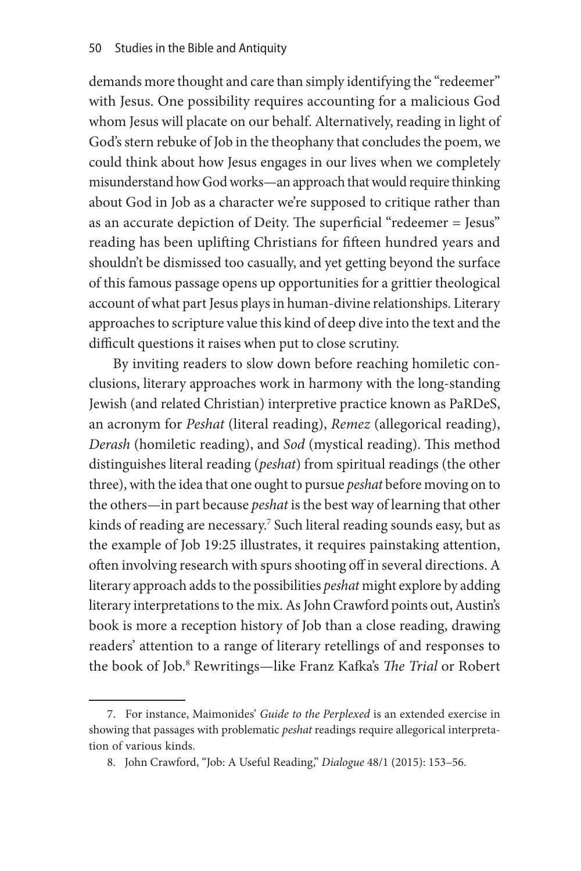demands more thought and care than simply identifying the "redeemer" with Jesus. One possibility requires accounting for a malicious God whom Jesus will placate on our behalf. Alternatively, reading in light of God's stern rebuke of Job in the theophany that concludes the poem, we could think about how Jesus engages in our lives when we completely misunderstand how God works—an approach that would require thinking about God in Job as a character we're supposed to critique rather than as an accurate depiction of Deity. The superficial "redeemer = Jesus" reading has been uplifting Christians for fifteen hundred years and shouldn't be dismissed too casually, and yet getting beyond the surface of this famous passage opens up opportunities for a grittier theological account of what part Jesus plays in human-divine relationships. Literary approaches to scripture value this kind of deep dive into the text and the difficult questions it raises when put to close scrutiny.

By inviting readers to slow down before reaching homiletic conclusions, literary approaches work in harmony with the long-standing Jewish (and related Christian) interpretive practice known as PaRDeS, an acronym for *Peshat* (literal reading), *Remez* (allegorical reading), *Derash* (homiletic reading), and *Sod* (mystical reading). This method distinguishes literal reading (*peshat*) from spiritual readings (the other three), with the idea that one ought to pursue *peshat* before moving on to the others—in part because *peshat* is the best way of learning that other kinds of reading are necessary.<sup>7</sup> Such literal reading sounds easy, but as the example of Job 19:25 illustrates, it requires painstaking attention, often involving research with spurs shooting off in several directions. A literary approach adds to the possibilities *peshat* might explore by adding literary interpretations to the mix. As John Crawford points out, Austin's book is more a reception history of Job than a close reading, drawing readers' attention to a range of literary retellings of and responses to the book of Job.8 Rewritings—like Franz Kafka's *The Trial* or Robert

<sup>7.</sup> For instance, Maimonides' *Guide to the Perplexed* is an extended exercise in showing that passages with problematic *peshat* readings require allegorical interpretation of various kinds.

<sup>8.</sup> John Crawford, "Job: A Useful Reading," *Dialogue* 48/1 (2015): 153–56.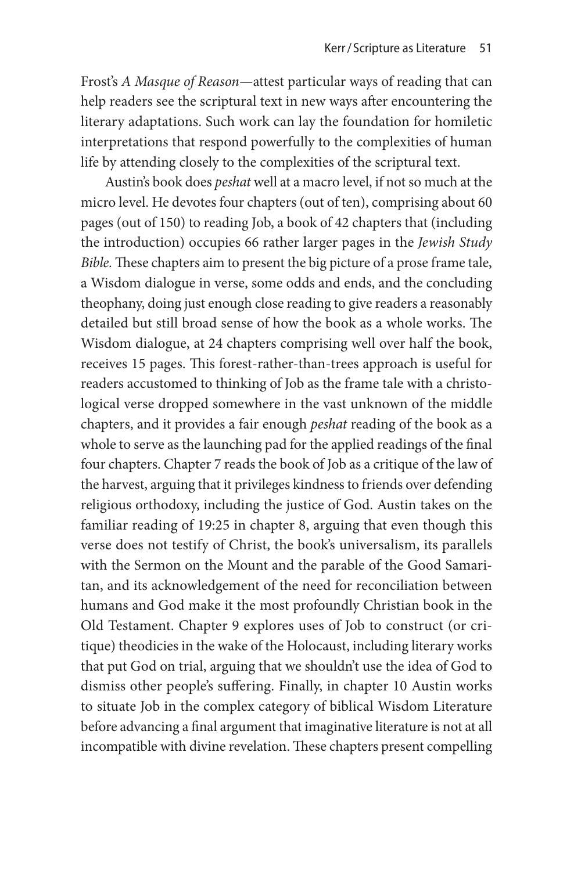Frost's *A Masque of Reason*—attest particular ways of reading that can help readers see the scriptural text in new ways after encountering the literary adaptations. Such work can lay the foundation for homiletic interpretations that respond powerfully to the complexities of human life by attending closely to the complexities of the scriptural text.

Austin's book does *peshat* well at a macro level, if not so much at the micro level. He devotes four chapters (out of ten), comprising about 60 pages (out of 150) to reading Job, a book of 42 chapters that (including the introduction) occupies 66 rather larger pages in the *Jewish Study Bible.* These chapters aim to present the big picture of a prose frame tale, a Wisdom dialogue in verse, some odds and ends, and the concluding theophany, doing just enough close reading to give readers a reasonably detailed but still broad sense of how the book as a whole works. The Wisdom dialogue, at 24 chapters comprising well over half the book, receives 15 pages. This forest-rather-than-trees approach is useful for readers accustomed to thinking of Job as the frame tale with a christological verse dropped somewhere in the vast unknown of the middle chapters, and it provides a fair enough *peshat* reading of the book as a whole to serve as the launching pad for the applied readings of the final four chapters. Chapter 7 reads the book of Job as a critique of the law of the harvest, arguing that it privileges kindness to friends over defending religious orthodoxy, including the justice of God. Austin takes on the familiar reading of 19:25 in chapter 8, arguing that even though this verse does not testify of Christ, the book's universalism, its parallels with the Sermon on the Mount and the parable of the Good Samaritan, and its acknowledgement of the need for reconciliation between humans and God make it the most profoundly Christian book in the Old Testament. Chapter 9 explores uses of Job to construct (or critique) theodicies in the wake of the Holocaust, including literary works that put God on trial, arguing that we shouldn't use the idea of God to dismiss other people's suffering. Finally, in chapter 10 Austin works to situate Job in the complex category of biblical Wisdom Literature before advancing a final argument that imaginative literature is not at all incompatible with divine revelation. These chapters present compelling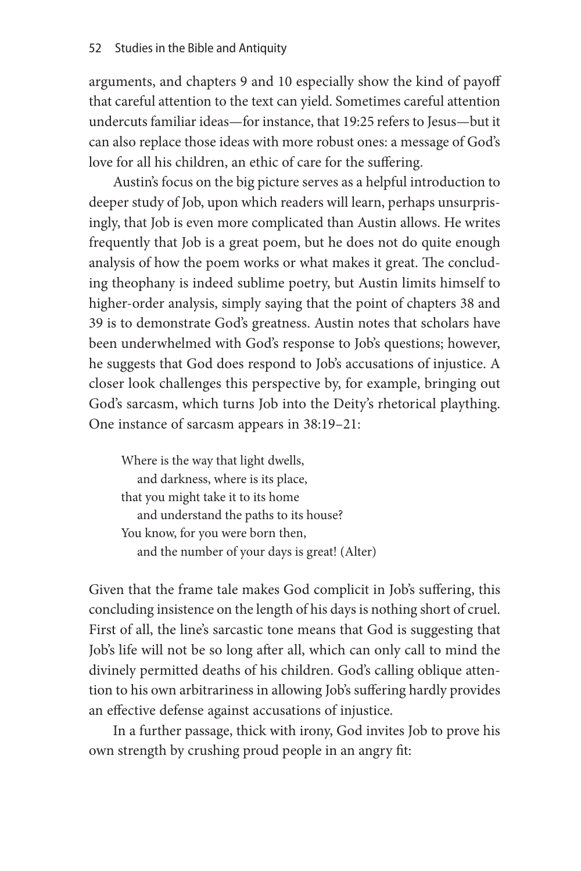arguments, and chapters 9 and 10 especially show the kind of payoff that careful attention to the text can yield. Sometimes careful attention undercuts familiar ideas—for instance, that 19:25 refers to Jesus—but it can also replace those ideas with more robust ones: a message of God's love for all his children, an ethic of care for the suffering.

Austin's focus on the big picture serves as a helpful introduction to deeper study of Job, upon which readers will learn, perhaps unsurprisingly, that Job is even more complicated than Austin allows. He writes frequently that Job is a great poem, but he does not do quite enough analysis of how the poem works or what makes it great. The concluding theophany is indeed sublime poetry, but Austin limits himself to higher-order analysis, simply saying that the point of chapters 38 and 39 is to demonstrate God's greatness. Austin notes that scholars have been underwhelmed with God's response to Job's questions; however, he suggests that God does respond to Job's accusations of injustice. A closer look challenges this perspective by, for example, bringing out God's sarcasm, which turns Job into the Deity's rhetorical plaything. One instance of sarcasm appears in 38:19–21:

Where is the way that light dwells, and darkness, where is its place, that you might take it to its home and understand the paths to its house? You know, for you were born then, and the number of your days is great! (Alter)

Given that the frame tale makes God complicit in Job's suffering, this concluding insistence on the length of his days is nothing short of cruel. First of all, the line's sarcastic tone means that God is suggesting that Job's life will not be so long after all, which can only call to mind the divinely permitted deaths of his children. God's calling oblique attention to his own arbitrariness in allowing Job's suffering hardly provides an effective defense against accusations of injustice.

In a further passage, thick with irony, God invites Job to prove his own strength by crushing proud people in an angry fit: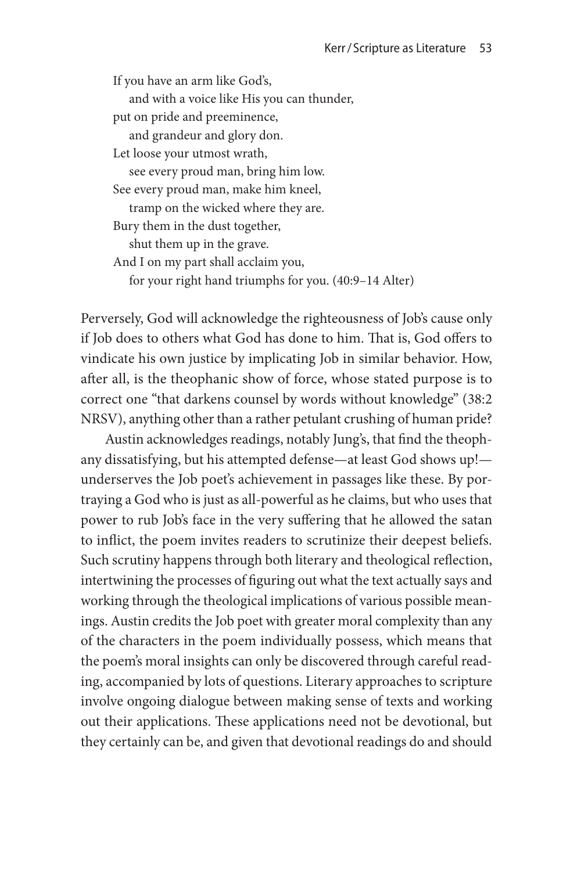If you have an arm like God's, and with a voice like His you can thunder, put on pride and preeminence, and grandeur and glory don. Let loose your utmost wrath, see every proud man, bring him low. See every proud man, make him kneel, tramp on the wicked where they are. Bury them in the dust together, shut them up in the grave. And I on my part shall acclaim you, for your right hand triumphs for you. (40:9–14 Alter)

Perversely, God will acknowledge the righteousness of Job's cause only if Job does to others what God has done to him. That is, God offers to vindicate his own justice by implicating Job in similar behavior. How, after all, is the theophanic show of force, whose stated purpose is to correct one "that darkens counsel by words without knowledge" (38:2 NRSV), anything other than a rather petulant crushing of human pride?

Austin acknowledges readings, notably Jung's, that find the theophany dissatisfying, but his attempted defense—at least God shows up! underserves the Job poet's achievement in passages like these. By portraying a God who is just as all-powerful as he claims, but who uses that power to rub Job's face in the very suffering that he allowed the satan to inflict, the poem invites readers to scrutinize their deepest beliefs. Such scrutiny happens through both literary and theological reflection, intertwining the processes of figuring out what the text actually says and working through the theological implications of various possible meanings. Austin credits the Job poet with greater moral complexity than any of the characters in the poem individually possess, which means that the poem's moral insights can only be discovered through careful reading, accompanied by lots of questions. Literary approaches to scripture involve ongoing dialogue between making sense of texts and working out their applications. These applications need not be devotional, but they certainly can be, and given that devotional readings do and should